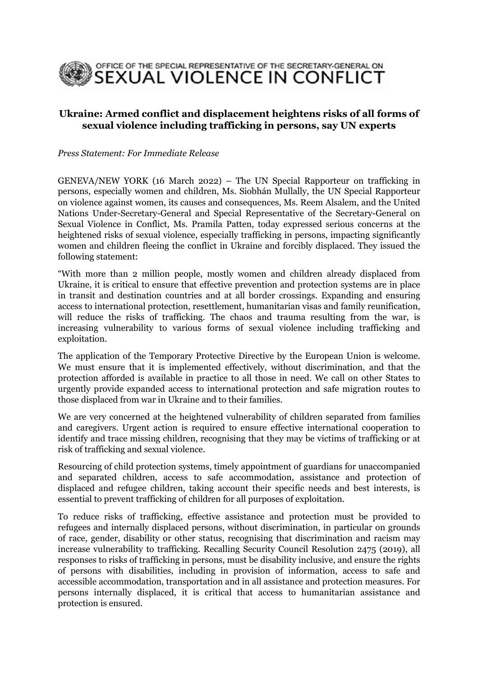

## **Ukraine: Armed conflict and displacement heightens risks of all forms of sexual violence including trafficking in persons, say UN experts**

*Press Statement: For Immediate Release*

GENEVA/NEW YORK (16 March 2022) – The UN Special Rapporteur on trafficking in persons, especially women and children, Ms. Siobhán Mullally, the UN Special [Rapporteur](https://www.ohchr.org/EN/Issues/Women/SRWomen/Pages/SRWomenIndex.aspx) on violence against women, its causes and [consequences,](https://www.ohchr.org/EN/Issues/Women/SRWomen/Pages/SRWomenIndex.aspx) Ms. Reem Alsalem, and the United Nations Under-Secretary-General and Special Representative of the Secretary-General on Sexual Violence in Conflict, Ms. Pramila Patten, today expressed serious concerns at the heightened risks of sexual violence, especially trafficking in persons, impacting significantly women and children fleeing the conflict in Ukraine and forcibly displaced. They issued the following statement:

"With more than 2 million people, mostly women and children already displaced from Ukraine, it is critical to ensure that effective prevention and protection systems are in place in transit and destination countries and at all border crossings. Expanding and ensuring access to international protection, resettlement, humanitarian visas and family reunification, will reduce the risks of trafficking. The chaos and trauma resulting from the war, is increasing vulnerability to various forms of sexual violence including trafficking and exploitation.

The application of the Temporary Protective Directive by the European Union is welcome. We must ensure that it is implemented effectively, without discrimination, and that the protection afforded is available in practice to all those in need. We call on other States to urgently provide expanded access to international protection and safe migration routes to those displaced from war in Ukraine and to their families.

We are very concerned at the heightened vulnerability of children separated from families and caregivers. Urgent action is required to ensure effective international cooperation to identify and trace missing children, recognising that they may be victims of trafficking or at risk of trafficking and sexual violence.

Resourcing of child protection systems, timely appointment of guardians for unaccompanied and separated children, access to safe accommodation, assistance and protection of displaced and refugee children, taking account their specific needs and best interests, is essential to prevent trafficking of children for all purposes of exploitation.

To reduce risks of trafficking, effective assistance and protection must be provided to refugees and internally displaced persons, without discrimination, in particular on grounds of race, gender, disability or other status, recognising that discrimination and racism may increase vulnerability to trafficking. Recalling Security Council Resolution 2475 (2019), all responses to risks of trafficking in persons, must be disability inclusive, and ensure the rights of persons with disabilities, including in provision of information, access to safe and accessible accommodation, transportation and in all assistance and protection measures. For persons internally displaced, it is critical that access to humanitarian assistance and protection is ensured.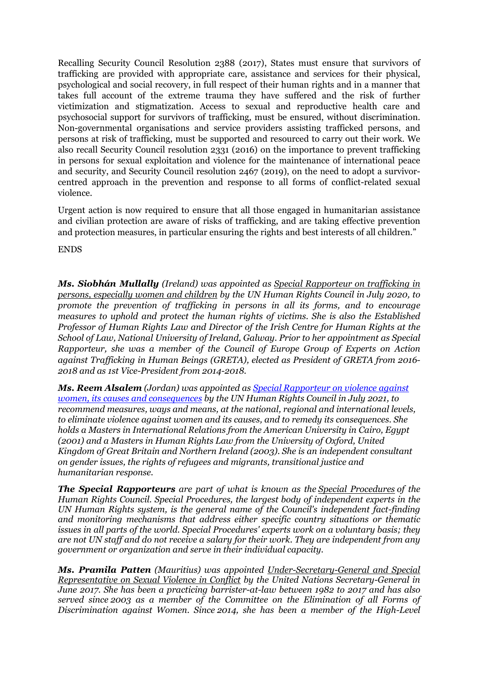Recalling Security Council Resolution 2388 (2017), States must ensure that survivors of trafficking are provided with appropriate care, assistance and services for their physical, psychological and social recovery, in full respect of their human rights and in a manner that takes full account of the extreme trauma they have suffered and the risk of further victimization and stigmatization. Access to sexual and reproductive health care and psychosocial support for survivors of trafficking, must be ensured, without discrimination. Non-governmental organisations and service providers assisting trafficked persons, and persons at risk of trafficking, must be supported and resourced to carry out their work. We also recall Security Council resolution 2331 (2016) on the importance to prevent trafficking in persons for sexual exploitation and violence for the maintenance of international peace and security, and Security Council resolution 2467 (2019), on the need to adopt a survivorcentred approach in the prevention and response to all forms of conflict-related sexual violence.

Urgent action is now required to ensure that all those engaged in humanitarian assistance and civilian protection are aware of risks of trafficking, and are taking effective prevention and protection measures, in particular ensuring the rights and best interests of all children."

ENDS

*Ms. Siobhán Mullally (Ireland) was appointed as Special [Rapporteur](https://www.ohchr.org/en/special-procedures/sr-trafficking-in-persons) on trafficking in persons, [especially](https://www.ohchr.org/en/special-procedures/sr-trafficking-in-persons) women and children by the UN Human Rights Council in July 2020, to promote the prevention of trafficking in persons in all its forms, and to encourage measures to uphold and protect the human rights of victims. She is also the Established Professor of Human Rights Law and Director of the Irish Centre for Human Rights at the School of Law, National University of Ireland, Galway. Prior to her appointment as Special Rapporteur, she was a member of the Council of Europe Group of Experts on Action against Trafficking in Human Beings (GRETA), elected as President of GRETA from 2016- 2018 and as 1st Vice-President from 2014-2018.*

*Ms. Reem Alsalem (Jordan) was appointed as [Special Rapporteur on violence against](https://www.ohchr.org/EN/Issues/Women/SRWomen/Pages/SRWomenIndex.aspx)  [women, its causes and consequences](https://www.ohchr.org/EN/Issues/Women/SRWomen/Pages/SRWomenIndex.aspx) by the UN Human Rights Council in July 2021, to recommend measures, ways and means, at the national, regional and international levels, to eliminate violence against women and its causes, and to remedy its consequences. She holds a Masters in International Relations from the American University in Cairo, Egypt (2001) and a Masters in Human Rights Law from the University of Oxford, United Kingdom of Great Britain and Northern Ireland (2003). She is an independent consultant on gender issues, the rights of refugees and migrants, transitional justice and humanitarian response.*

*The Special Rapporteurs are part of what is known as the Special [Procedures](https://www.ohchr.org/EN/HRBodies/SP/Pages/Welcomepage.aspx) of the Human Rights Council. Special Procedures, the largest body of independent experts in the UN Human Rights system, is the general name of the Council's independent fact-finding and monitoring mechanisms that address either specific country situations or thematic issues in all parts of the world. Special Procedures' experts work on a voluntary basis; they are not UN staff and do not receive a salary for their work. They are independent from any government or organization and serve in their individual capacity.*

*Ms. Pramila Patten (Mauritius) was appointed [Under-Secretary-General](https://www.un.org/sexualviolenceinconflict/about-us/about-the-srsg/) and Special [Representative](https://www.un.org/sexualviolenceinconflict/about-us/about-the-srsg/) on Sexual Violence in Conflict by the United Nations Secretary-General in June 2017. She has been a practicing barrister-at-law between 1982 to 2017 and has also served since 2003 as a member of the Committee on the Elimination of all Forms of Discrimination against Women. Since 2014, she has been a member of the High-Level*